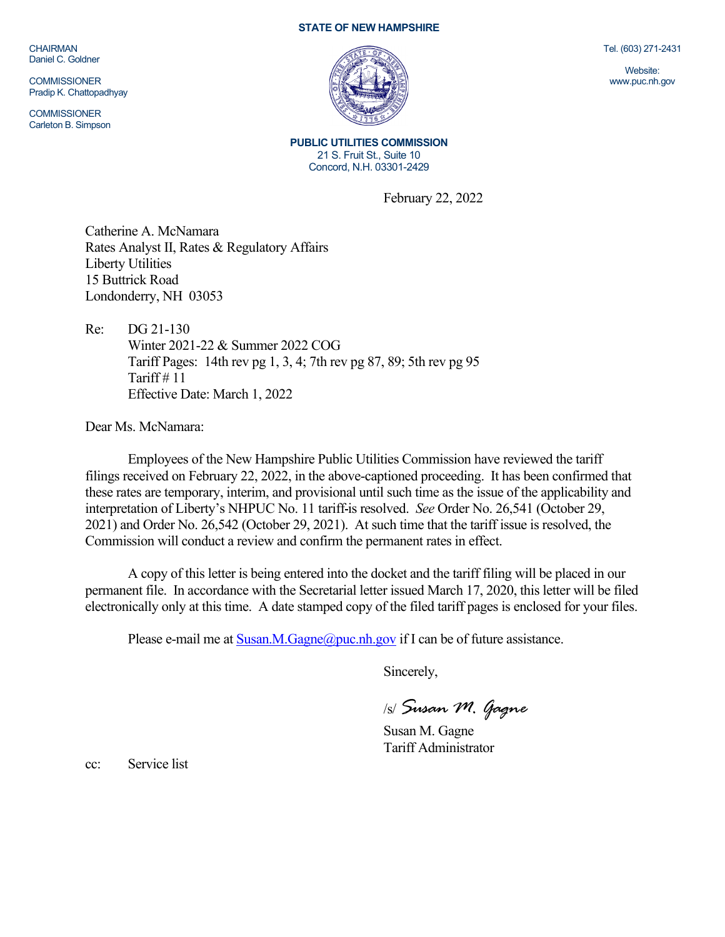CHAIRMAN Daniel C. Goldner

**COMMISSIONER** Pradip K. Chattopadhyay

**COMMISSIONER** Carleton B. Simpson

## **STATE OF NEW HAMPSHIRE**



**PUBLIC UTILITIES COMMISSION** 21 S. Fruit St., Suite 10 Concord, N.H. 03301-2429

February 22, 2022

Catherine A. McNamara Rates Analyst II, Rates & Regulatory Affairs Liberty Utilities 15 Buttrick Road Londonderry, NH 03053

Re: DG 21-130 Winter 2021-22 & Summer 2022 COG Tariff Pages: 14th rev pg 1, 3, 4; 7th rev pg 87, 89; 5th rev pg 95 Tariff  $# 11$ Effective Date: March 1, 2022

Dear Ms. McNamara:

Employees of the New Hampshire Public Utilities Commission have reviewed the tariff filings received on February 22, 2022, in the above-captioned proceeding. It has been confirmed that these rates are temporary, interim, and provisional until such time as the issue of the applicability and interpretation of Liberty's NHPUC No. 11 tariff is resolved. *See* Order No. 26,541 (October 29, 2021) and Order No. 26,542 (October 29, 2021). At such time that the tariff issue is resolved, the Commission will conduct a review and confirm the permanent rates in effect.

A copy of this letter is being entered into the docket and the tariff filing will be placed in our permanent file. In accordance with the Secretarial letter issued March 17, 2020, this letter will be filed electronically only at this time. A date stamped copy of the filed tariff pages is enclosed for your files.

Please e-mail me at  $S$ usan.M.Gagne@puc.nh.gov if I can be of future assistance.

Sincerely,

/s/ *Susan M. Gagne*

Susan M. Gagne Tariff Administrator

cc: Service list

Tel. (603) 271-2431

Website: www.puc.nh.gov